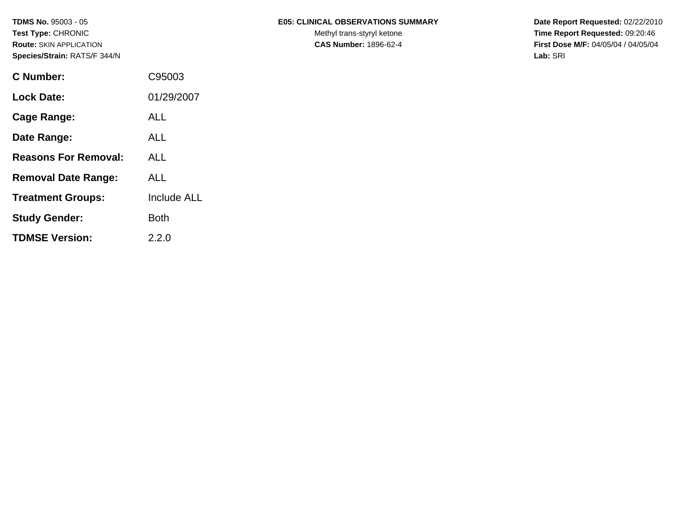| <b>C</b> Number:            | C95003             |
|-----------------------------|--------------------|
| <b>Lock Date:</b>           | 01/29/2007         |
| <b>Cage Range:</b>          | ALL                |
| Date Range:                 | ALL                |
| <b>Reasons For Removal:</b> | <b>ALL</b>         |
| <b>Removal Date Range:</b>  | ALL                |
| <b>Treatment Groups:</b>    | <b>Include ALL</b> |
| <b>Study Gender:</b>        | <b>Both</b>        |
| <b>TDMSE Version:</b>       | 2.2.0              |

### **TDMS No.** 95003 - 05 **E05: CLINICAL OBSERVATIONS SUMMARY** Date Report Requested: 02/22/2010

Test Type: CHRONIC **Test Type:** CHRONIC **Test Type:** CHRONIC **Time Report Requested:** 09:20:46 **Route:** SKIN APPLICATION **CAS Number:** 1896-62-4 **First Dose M/F:** 04/05/04 / 04/05/04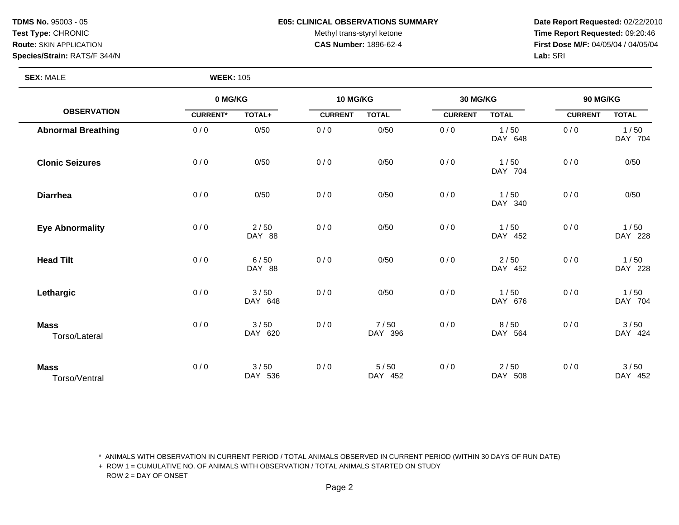#### **TDMS No.** 95003 - 05 **E05: CLINICAL OBSERVATIONS SUMMARY Date Report Requested:** 02/22/2010

Test Type: CHRONIC **Test Type:** CHRONIC **Test Type:** CHRONIC **Time Report Requested:** 09:20:46 **Route:** SKIN APPLICATION **CAS Number:** 1896-62-4 **First Dose M/F:** 04/05/04 / 04/05/04

**SEX:** MALE **WEEK:** 105

|                              |                 | 0 MG/KG           |                | 10 MG/KG        |                | 30 MG/KG        |                | 90 MG/KG        |  |
|------------------------------|-----------------|-------------------|----------------|-----------------|----------------|-----------------|----------------|-----------------|--|
| <b>OBSERVATION</b>           | <b>CURRENT*</b> | TOTAL+            | <b>CURRENT</b> | <b>TOTAL</b>    | <b>CURRENT</b> | <b>TOTAL</b>    | <b>CURRENT</b> | <b>TOTAL</b>    |  |
| <b>Abnormal Breathing</b>    | 0/0             | 0/50              | 0/0            | 0/50            | 0/0            | 1/50<br>DAY 648 | 0/0            | 1/50<br>DAY 704 |  |
| <b>Clonic Seizures</b>       | 0/0             | 0/50              | 0/0            | 0/50            | 0/0            | 1/50<br>DAY 704 | 0/0            | 0/50            |  |
| <b>Diarrhea</b>              | 0/0             | 0/50              | 0/0            | 0/50            | 0/0            | 1/50<br>DAY 340 | 0/0            | 0/50            |  |
| <b>Eye Abnormality</b>       | 0/0             | 2/50<br>DAY 88    | 0/0            | 0/50            | 0/0            | 1/50<br>DAY 452 | 0/0            | 1/50<br>DAY 228 |  |
| <b>Head Tilt</b>             | 0/0             | 6/50<br>DAY 88    | 0/0            | 0/50            | 0/0            | 2/50<br>DAY 452 | 0/0            | 1/50<br>DAY 228 |  |
| Lethargic                    | 0/0             | 3/50<br>DAY 648   | 0/0            | 0/50            | 0/0            | 1/50<br>DAY 676 | 0/0            | 1/50<br>DAY 704 |  |
| <b>Mass</b><br>Torso/Lateral | 0/0             | 3/50<br>DAY 620   | 0/0            | 7/50<br>DAY 396 | 0/0            | 8/50<br>DAY 564 | 0/0            | 3/50<br>DAY 424 |  |
| <b>Mass</b><br>Torso/Ventral | 0/0             | $3/50$<br>DAY 536 | 0/0            | 5/50<br>DAY 452 | 0/0            | 2/50<br>DAY 508 | 0/0            | 3/50<br>DAY 452 |  |

\* ANIMALS WITH OBSERVATION IN CURRENT PERIOD / TOTAL ANIMALS OBSERVED IN CURRENT PERIOD (WITHIN 30 DAYS OF RUN DATE)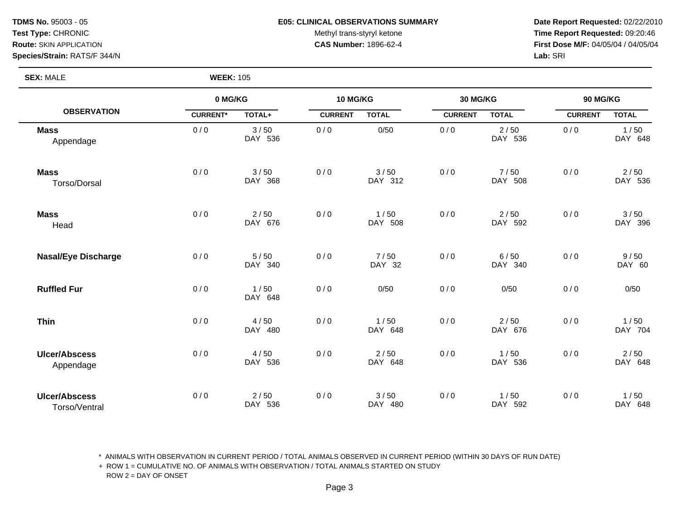#### **TDMS No.** 95003 - 05 **E05: CLINICAL OBSERVATIONS SUMMARY Date Report Requested:** 02/22/2010

Test Type: CHRONIC **Test Type:** CHRONIC **Test Type:** CHRONIC **Time Report Requested:** 09:20:46 **Route:** SKIN APPLICATION **CAS Number:** 1896-62-4 **First Dose M/F:** 04/05/04 / 04/05/04

**SEX:** MALE **WEEK:** 105

|                                       | 0 MG/KG         |                   | 10 MG/KG       |                 | 30 MG/KG       |                   | 90 MG/KG       |                 |
|---------------------------------------|-----------------|-------------------|----------------|-----------------|----------------|-------------------|----------------|-----------------|
| <b>OBSERVATION</b>                    | <b>CURRENT*</b> | TOTAL+            | <b>CURRENT</b> | <b>TOTAL</b>    | <b>CURRENT</b> | <b>TOTAL</b>      | <b>CURRENT</b> | <b>TOTAL</b>    |
| <b>Mass</b><br>Appendage              | 0/0             | 3/50<br>DAY 536   | 0/0            | 0/50            | 0/0            | 2/50<br>DAY 536   | 0/0            | 1/50<br>DAY 648 |
| <b>Mass</b><br>Torso/Dorsal           | 0/0             | 3/50<br>DAY 368   | 0/0            | 3/50<br>DAY 312 | 0/0            | 7/50<br>DAY 508   | 0/0            | 2/50<br>DAY 536 |
| <b>Mass</b><br>Head                   | 0/0             | $2/50$<br>DAY 676 | 0/0            | 1/50<br>DAY 508 | 0/0            | $2/50$<br>DAY 592 | 0/0            | 3/50<br>DAY 396 |
| <b>Nasal/Eye Discharge</b>            | 0/0             | 5/50<br>DAY 340   | 0/0            | 7/50<br>DAY 32  | 0/0            | 6/50<br>DAY 340   | 0/0            | 9/50<br>DAY 60  |
| <b>Ruffled Fur</b>                    | 0/0             | 1/50<br>DAY 648   | 0/0            | 0/50            | 0/0            | 0/50              | 0/0            | 0/50            |
| <b>Thin</b>                           | 0/0             | 4/50<br>DAY 480   | 0/0            | 1/50<br>DAY 648 | 0/0            | 2/50<br>DAY 676   | 0/0            | 1/50<br>DAY 704 |
| <b>Ulcer/Abscess</b><br>Appendage     | 0/0             | 4/50<br>DAY 536   | 0/0            | 2/50<br>DAY 648 | 0/0            | 1/50<br>DAY 536   | 0/0            | 2/50<br>DAY 648 |
| <b>Ulcer/Abscess</b><br>Torso/Ventral | 0/0             | $2/50$<br>DAY 536 | 0/0            | 3/50<br>DAY 480 | 0/0            | 1/50<br>DAY 592   | 0/0            | 1/50<br>DAY 648 |

\* ANIMALS WITH OBSERVATION IN CURRENT PERIOD / TOTAL ANIMALS OBSERVED IN CURRENT PERIOD (WITHIN 30 DAYS OF RUN DATE)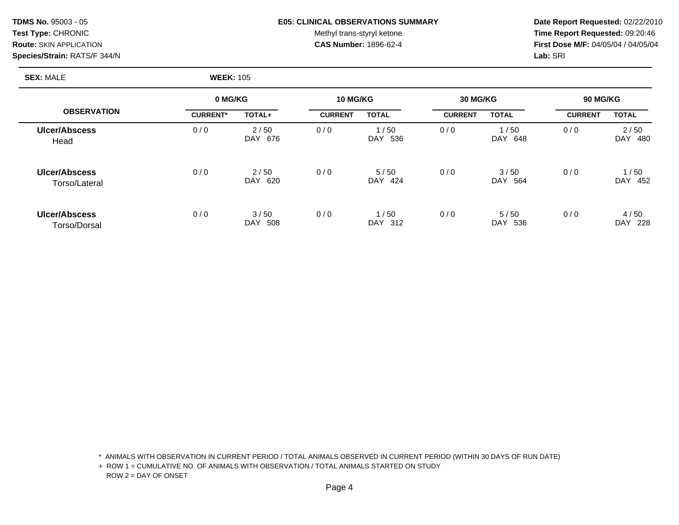#### **TDMS No.** 95003 - 05 **E05: CLINICAL OBSERVATIONS SUMMARY Date Report Requested:** 02/22/2010

Test Type: CHRONIC **Test Type:** CHRONIC **Test Type:** CHRONIC **Time Report Requested:** 09:20:46 **Route:** SKIN APPLICATION **CAS Number:** 1896-62-4 **First Dose M/F:** 04/05/04 / 04/05/04

### **SEX:** MALE **WEEK:** 105

|                                |                 | 0 MG/KG                   |                | 10 MG/KG        |                | 30 MG/KG            |                | <b>90 MG/KG</b>           |  |
|--------------------------------|-----------------|---------------------------|----------------|-----------------|----------------|---------------------|----------------|---------------------------|--|
| <b>OBSERVATION</b>             | <b>CURRENT*</b> | TOTAL+                    | <b>CURRENT</b> | <b>TOTAL</b>    | <b>CURRENT</b> | <b>TOTAL</b>        | <b>CURRENT</b> | <b>TOTAL</b>              |  |
| <b>Ulcer/Abscess</b><br>Head   | 0/0             | 2/50<br>676<br><b>DAY</b> | 0/0            | 1/50<br>DAY 536 | 0/0            | /50<br>DAY.<br>648  | 0/0            | 2/50<br><b>DAY</b><br>480 |  |
| Ulcer/Abscess<br>Torso/Lateral | 0/0             | 2/50<br>620<br>DAY        | 0/0            | 5/50<br>DAY 424 | 0/0            | 3/50<br>DAY.<br>564 | 0/0            | /50<br><b>DAY</b><br>452  |  |
| Ulcer/Abscess<br>Torso/Dorsal  | 0/0             | 3/50<br>508<br>DAY        | 0/0            | 1/50<br>DAY 312 | 0/0            | 5/50<br>DAY.<br>536 | 0/0            | 4/50<br>DAY<br>228        |  |

\* ANIMALS WITH OBSERVATION IN CURRENT PERIOD / TOTAL ANIMALS OBSERVED IN CURRENT PERIOD (WITHIN 30 DAYS OF RUN DATE)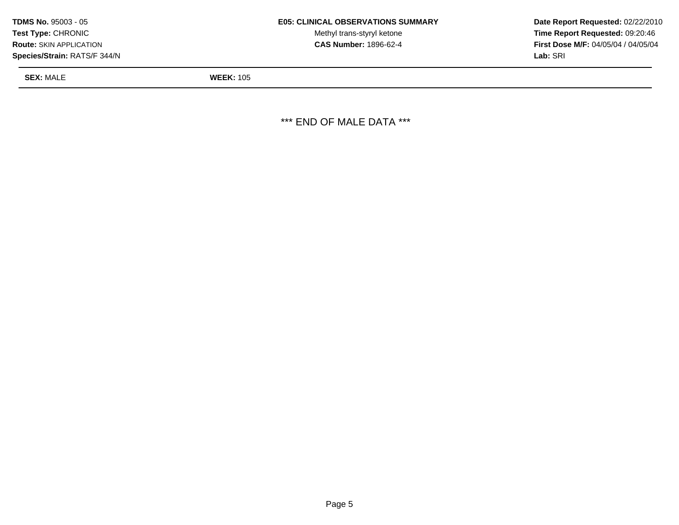| <b>TDMS No. 95003 - 05</b>     | <b>E05: CLINICAL OBSERVATIONS SUMMARY</b> | Date Rer         |
|--------------------------------|-------------------------------------------|------------------|
| <b>Test Type: CHRONIC</b>      | Methyl trans-styryl ketone                | Time Re          |
| <b>Route: SKIN APPLICATION</b> | <b>CAS Number: 1896-62-4</b>              | <b>First Dos</b> |
| Species/Strain: RATS/F 344/N   |                                           | <b>Lab:</b> SRI  |

Methyl trans-styryl ketone **Time Report Requested:** 09:20:46 **CAS Number:** 1896-62-4 **First Dose M/F:** 04/05/04 / 04/05/04

**SEX:** MALE **WEEK:** 105

\*\*\* END OF MALE DATA \*\*\*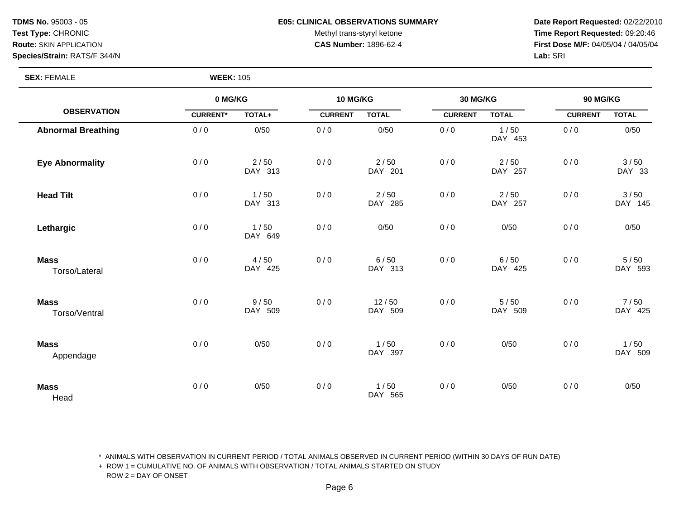#### **TDMS No.** 95003 - 05 **E05: CLINICAL OBSERVATIONS SUMMARY Date Report Requested:** 02/22/2010

Test Type: CHRONIC **Test Type:** CHRONIC **Test Type:** CHRONIC **Time Report Requested:** 09:20:46 **Route:** SKIN APPLICATION **CAS Number:** 1896-62-4 **First Dose M/F:** 04/05/04 / 04/05/04

**SEX: FEMALE** 

| <b>WEEK: 105</b> |  |
|------------------|--|
|------------------|--|

|                              | 0 MG/KG         |                 | 10 MG/KG       |                   | 30 MG/KG       |                   | 90 MG/KG       |                 |
|------------------------------|-----------------|-----------------|----------------|-------------------|----------------|-------------------|----------------|-----------------|
| <b>OBSERVATION</b>           | <b>CURRENT*</b> | TOTAL+          | <b>CURRENT</b> | <b>TOTAL</b>      | <b>CURRENT</b> | <b>TOTAL</b>      | <b>CURRENT</b> | <b>TOTAL</b>    |
| <b>Abnormal Breathing</b>    | 0/0             | 0/50            | 0/0            | 0/50              | 0/0            | 1/50<br>DAY 453   | 0/0            | 0/50            |
| <b>Eye Abnormality</b>       | 0/0             | 2/50<br>DAY 313 | 0/0            | $2/50$<br>DAY 201 | 0/0            | $2/50$<br>DAY 257 | 0/0            | 3/50<br>DAY 33  |
| <b>Head Tilt</b>             | 0/0             | 1/50<br>DAY 313 | 0/0            | $2/50$<br>DAY 285 | 0/0            | $2/50$<br>DAY 257 | 0/0            | 3/50<br>DAY 145 |
| Lethargic                    | 0/0             | 1/50<br>DAY 649 | 0/0            | 0/50              | 0/0            | 0/50              | 0/0            | 0/50            |
| <b>Mass</b><br>Torso/Lateral | 0/0             | 4/50<br>DAY 425 | 0/0            | 6/50<br>DAY 313   | 0/0            | 6/50<br>DAY 425   | 0/0            | 5/50<br>DAY 593 |
| <b>Mass</b><br>Torso/Ventral | 0/0             | 9/50<br>DAY 509 | 0/0            | 12/50<br>DAY 509  | 0/0            | 5/50<br>DAY 509   | 0/0            | 7/50<br>DAY 425 |
| <b>Mass</b><br>Appendage     | 0/0             | 0/50            | 0/0            | 1/50<br>DAY 397   | 0/0            | 0/50              | 0/0            | 1/50<br>DAY 509 |
| <b>Mass</b><br>Head          | 0/0             | 0/50            | 0/0            | 1/50<br>DAY 565   | 0/0            | 0/50              | 0/0            | 0/50            |

\* ANIMALS WITH OBSERVATION IN CURRENT PERIOD / TOTAL ANIMALS OBSERVED IN CURRENT PERIOD (WITHIN 30 DAYS OF RUN DATE)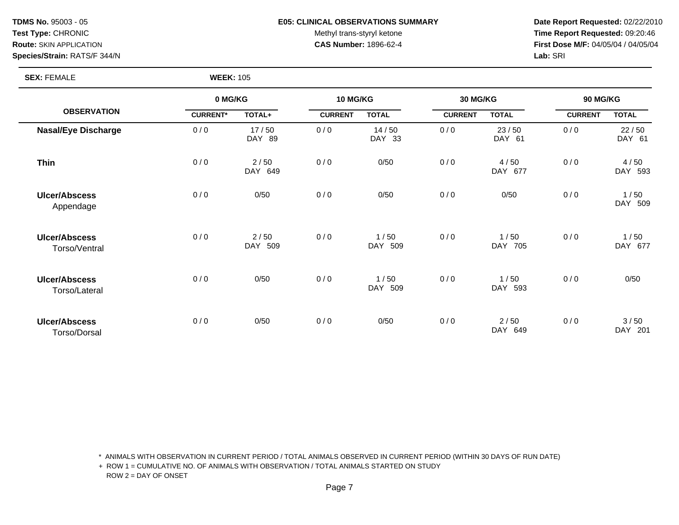#### **TDMS No.** 95003 - 05 **E05: CLINICAL OBSERVATIONS SUMMARY Date Report Requested:** 02/22/2010

Test Type: CHRONIC **Test Type:** CHRONIC **Test Type:** CHRONIC **Time Report Requested:** 09:20:46 **Route:** SKIN APPLICATION **CAS Number:** 1896-62-4 **First Dose M/F:** 04/05/04 / 04/05/04

**SEX:** FEMALE **WEEK:** 105

|                                       | 0 MG/KG         |                 | <b>10 MG/KG</b> |                 | 30 MG/KG       |                 | 90 MG/KG       |                 |
|---------------------------------------|-----------------|-----------------|-----------------|-----------------|----------------|-----------------|----------------|-----------------|
| <b>OBSERVATION</b>                    | <b>CURRENT*</b> | TOTAL+          | <b>CURRENT</b>  | <b>TOTAL</b>    | <b>CURRENT</b> | <b>TOTAL</b>    | <b>CURRENT</b> | <b>TOTAL</b>    |
| <b>Nasal/Eye Discharge</b>            | 0/0             | 17/50<br>DAY 89 | 0/0             | 14/50<br>DAY 33 | 0/0            | 23/50<br>DAY 61 | 0/0            | 22/50<br>DAY 61 |
| <b>Thin</b>                           | 0/0             | 2/50<br>DAY 649 | 0/0             | 0/50            | 0/0            | 4/50<br>DAY 677 | 0/0            | 4/50<br>DAY 593 |
| <b>Ulcer/Abscess</b><br>Appendage     | 0/0             | 0/50            | 0/0             | 0/50            | 0/0            | 0/50            | 0/0            | 1/50<br>DAY 509 |
| <b>Ulcer/Abscess</b><br>Torso/Ventral | 0/0             | 2/50<br>DAY 509 | 0/0             | 1/50<br>DAY 509 | 0/0            | 1/50<br>DAY 705 | 0/0            | 1/50<br>DAY 677 |
| <b>Ulcer/Abscess</b><br>Torso/Lateral | 0/0             | 0/50            | 0/0             | 1/50<br>DAY 509 | 0/0            | 1/50<br>DAY 593 | 0/0            | 0/50            |
| <b>Ulcer/Abscess</b><br>Torso/Dorsal  | 0/0             | 0/50            | 0/0             | 0/50            | 0/0            | 2/50<br>DAY 649 | 0/0            | 3/50<br>DAY 201 |

\* ANIMALS WITH OBSERVATION IN CURRENT PERIOD / TOTAL ANIMALS OBSERVED IN CURRENT PERIOD (WITHIN 30 DAYS OF RUN DATE)